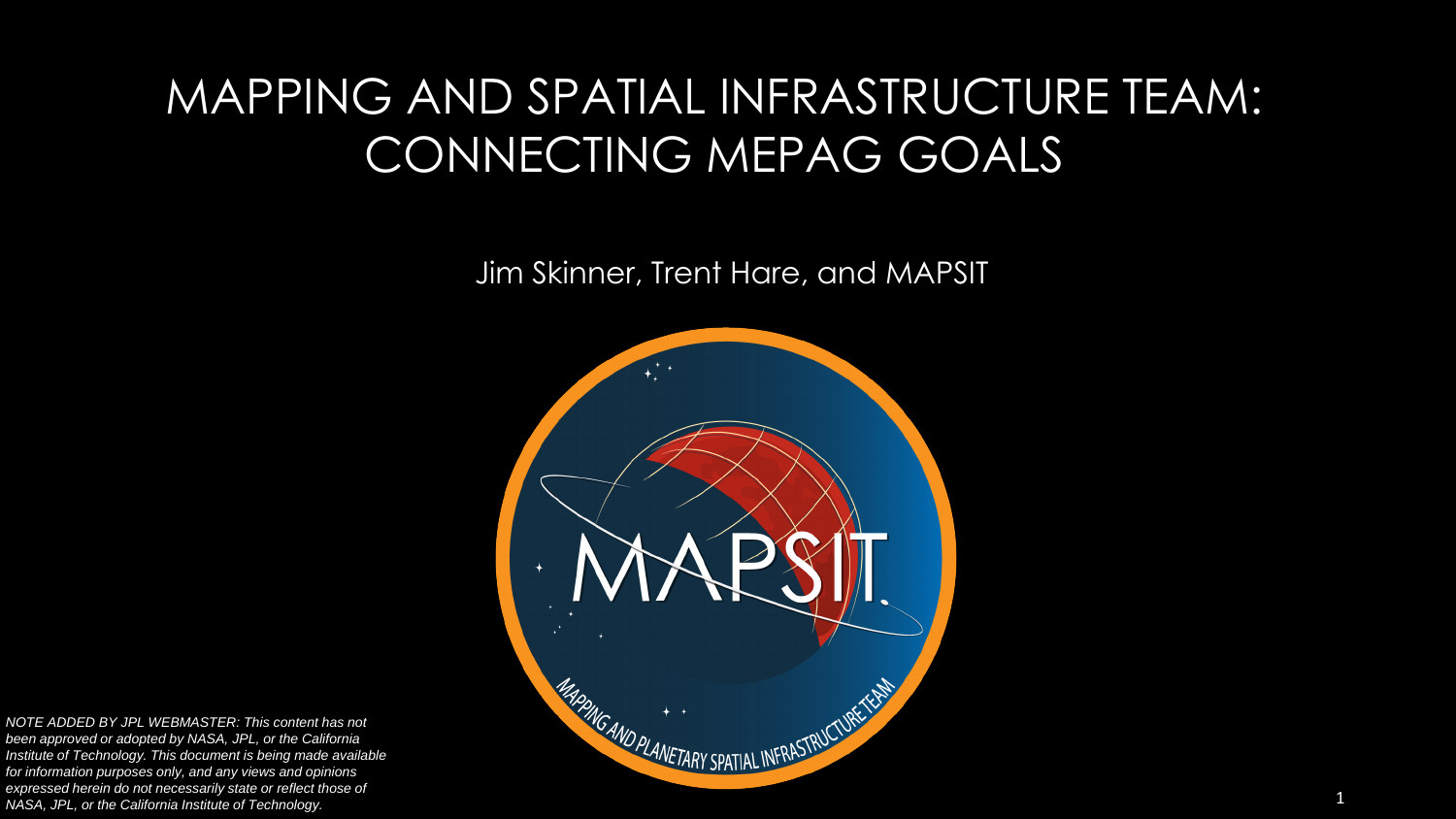#### MAPPING AND SPATIAL INFRASTRUCTURE TEAM: CONNECTING MEPAG GOALS

Jim Skinner, Trent Hare, and MAPSIT



*NOTE ADDED BY JPL WEBMASTER: This content has not been approved or adopted by NASA, JPL, or the California Institute of Technology. This document is being made available for information purposes only, and any views and opinions expressed herein do not necessarily state or reflect those of NASA, JPL, or the California Institute of Technology.*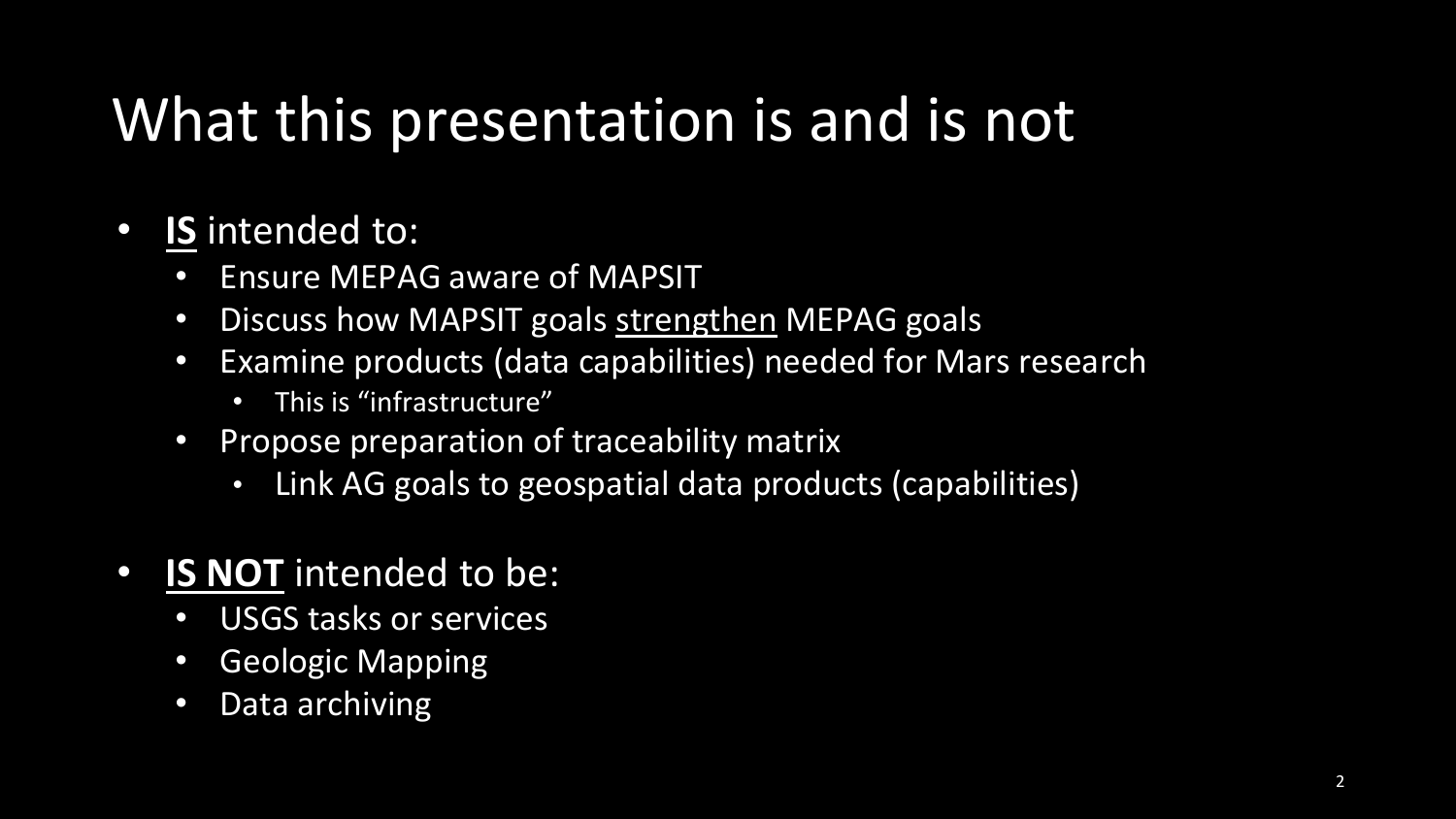### What this presentation is and is not

- **IS** intended to:
	- Ensure MEPAG aware of MAPSIT
	- Discuss how MAPSIT goals strengthen MEPAG goals
	- Examine products (data capabilities) needed for Mars research
		- This is "infrastructure"
	- Propose preparation of traceability matrix
		- Link AG goals to geospatial data products (capabilities)
- **IS NOT** intended to be:
	- USGS tasks or services
	- Geologic Mapping
	- Data archiving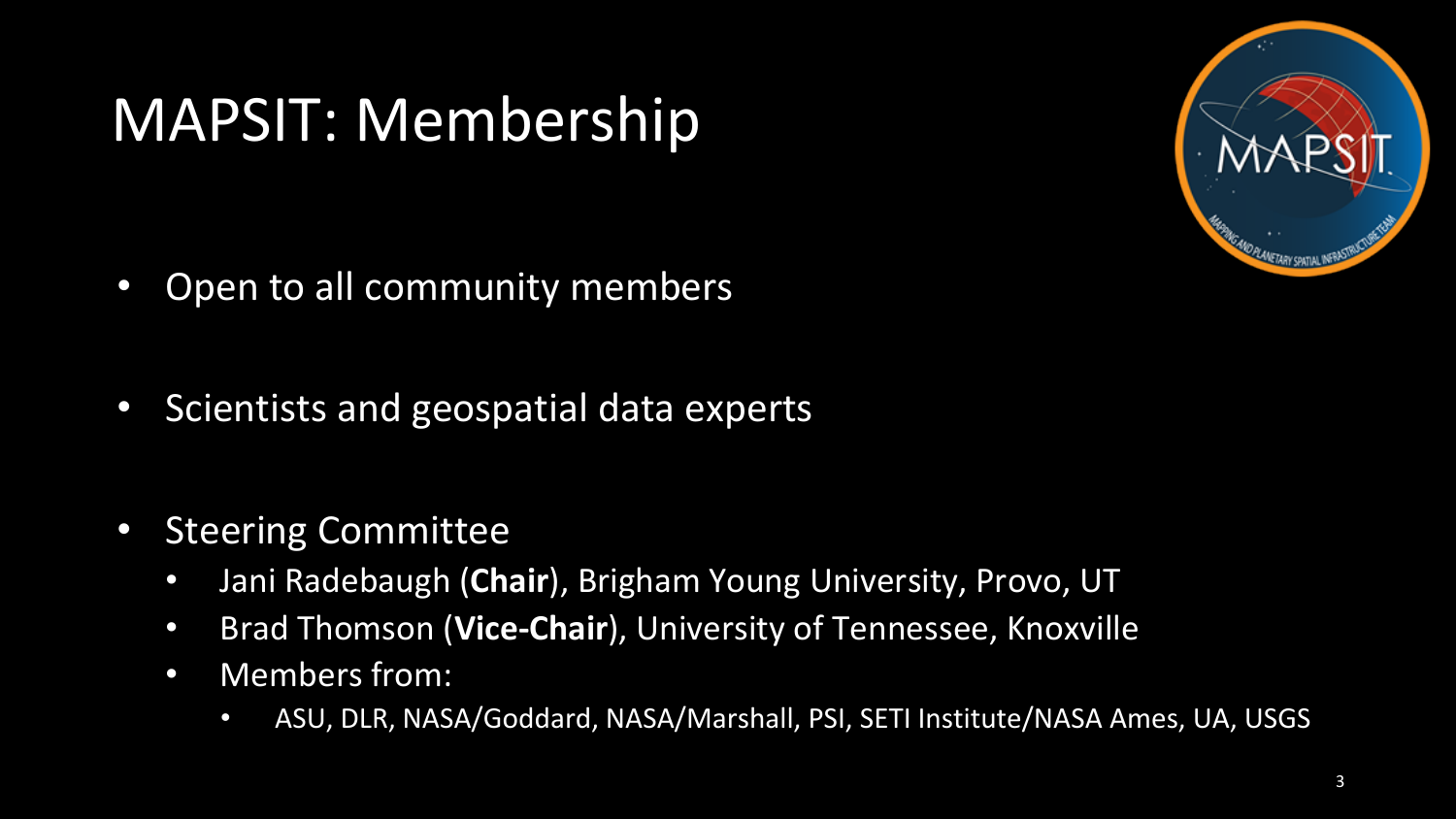#### MAPSIT: Membership

- Open to all community members
- Scientists and geospatial data experts
- Steering Committee
	- Jani Radebaugh (**Chair**), Brigham Young University, Provo, UT
	- Brad Thomson (**Vice-Chair**), University of Tennessee, Knoxville
	- Members from:
		- ASU, DLR, NASA/Goddard, NASA/Marshall, PSI, SETI Institute/NASA Ames, UA, USGS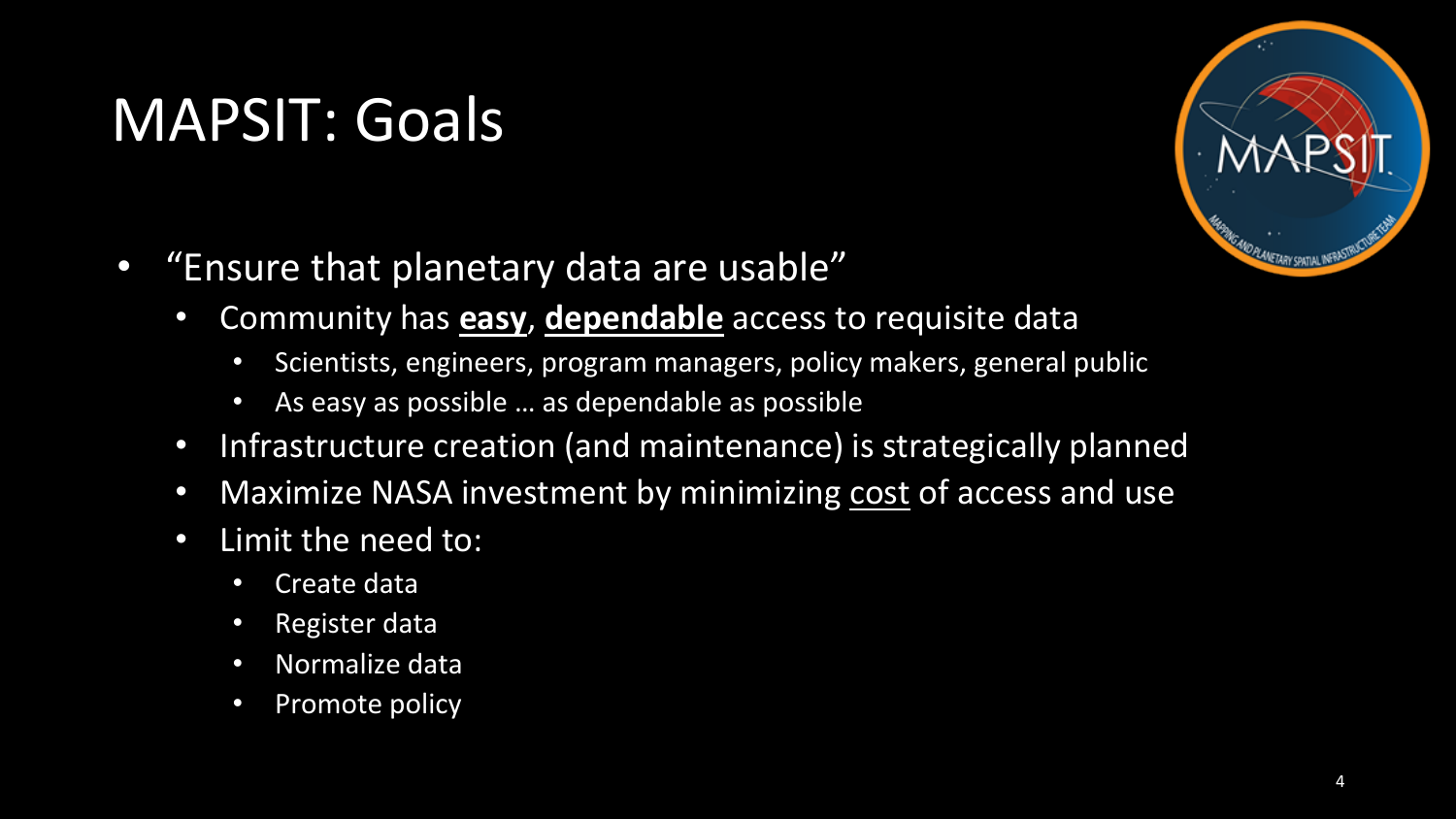### MAPSIT: Goals



- "Ensure that planetary data are usable"
	- Community has **easy**, **dependable** access to requisite data
		- Scientists, engineers, program managers, policy makers, general public
		- As easy as possible … as dependable as possible
	- Infrastructure creation (and maintenance) is strategically planned
	- Maximize NASA investment by minimizing cost of access and use
	- Limit the need to:
		- Create data
		- Register data
		- Normalize data
		- Promote policy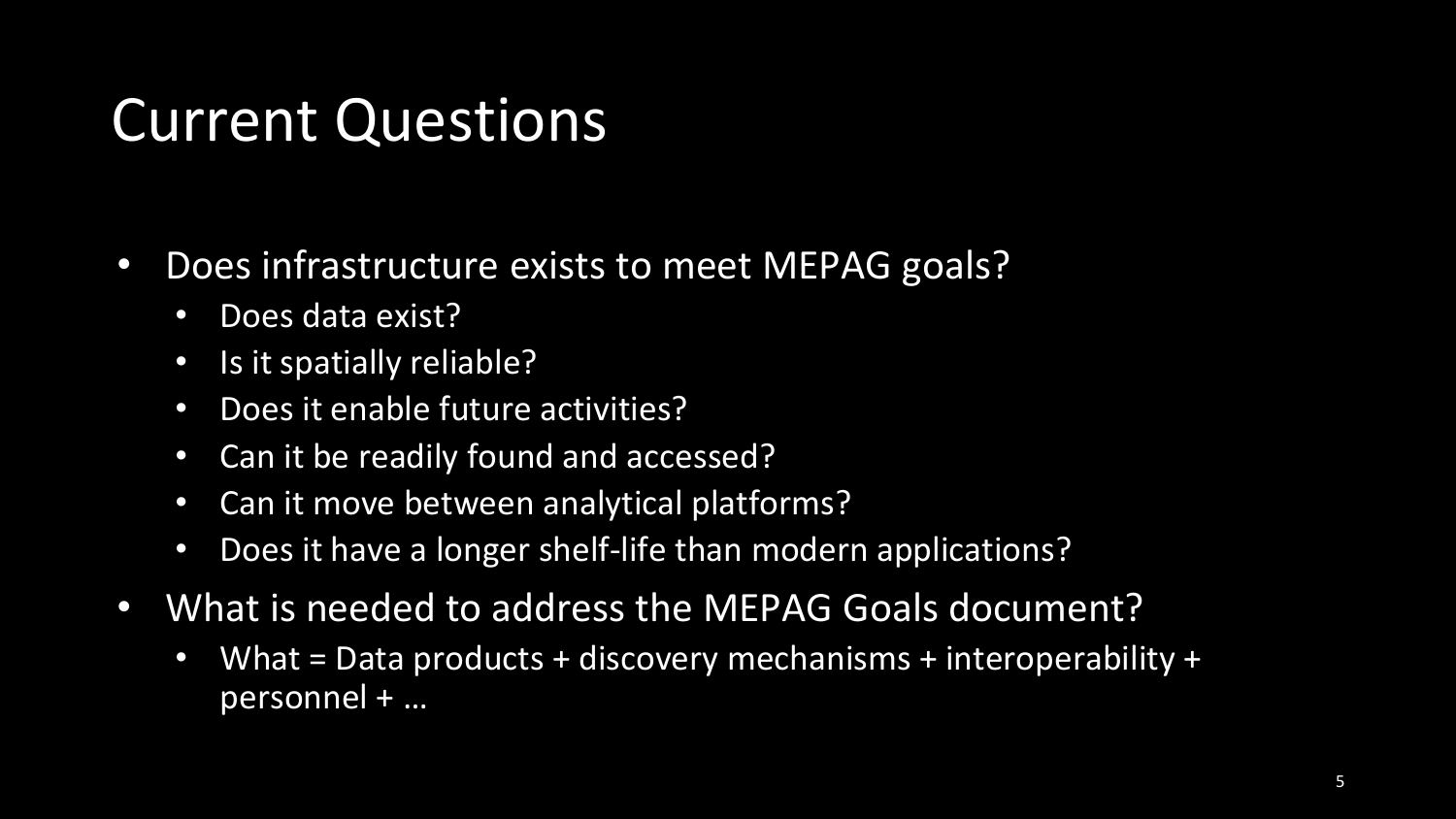#### Current Questions

- Does infrastructure exists to meet MEPAG goals?
	- Does data exist?
	- Is it spatially reliable?
	- Does it enable future activities?
	- Can it be readily found and accessed?
	- Can it move between analytical platforms?
	- Does it have a longer shelf-life than modern applications?
- What is needed to address the MEPAG Goals document?
	- What = Data products + discovery mechanisms + interoperability + personnel + …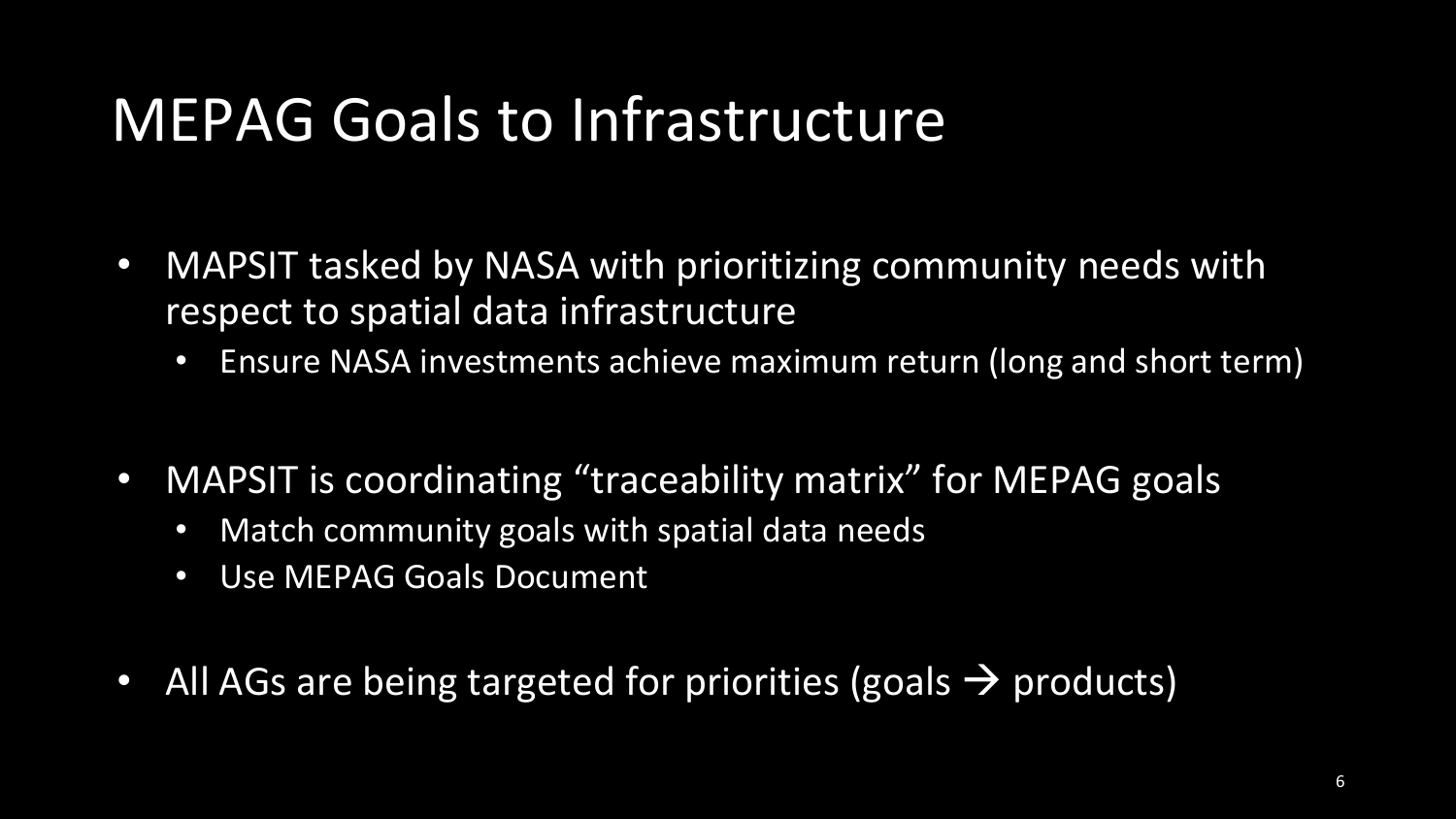#### MEPAG Goals to Infrastructure

- MAPSIT tasked by NASA with prioritizing community needs with respect to spatial data infrastructure
	- Ensure NASA investments achieve maximum return (long and short term)
- MAPSIT is coordinating "traceability matrix" for MEPAG goals
	- Match community goals with spatial data needs
	- Use MEPAG Goals Document
- All AGs are being targeted for priorities (goals  $\rightarrow$  products)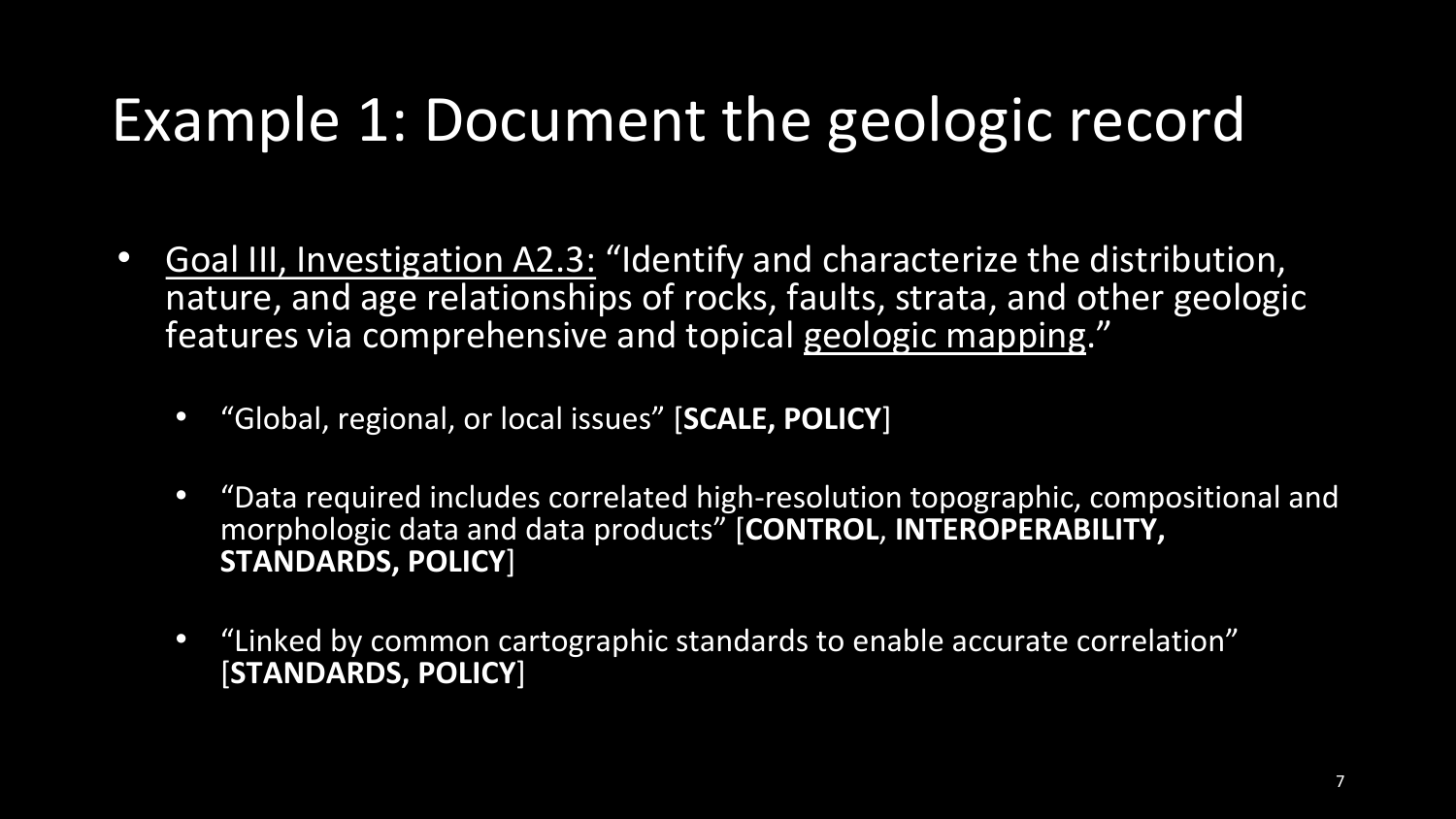### Example 1: Document the geologic record

- Goal III, Investigation A2.3: "Identify and characterize the distribution, nature, and age relationships of rocks, faults, strata, and other geologic features via comprehensive and topical geologic mapping."
	- "Global, regional, or local issues" [**SCALE, POLICY**]
	- "Data required includes correlated high-resolution topographic, compositional and morphologic data and data products" [**CONTROL**, **INTEROPERABILITY, STANDARDS, POLICY**]
	- "Linked by common cartographic standards to enable accurate correlation" [**STANDARDS, POLICY**]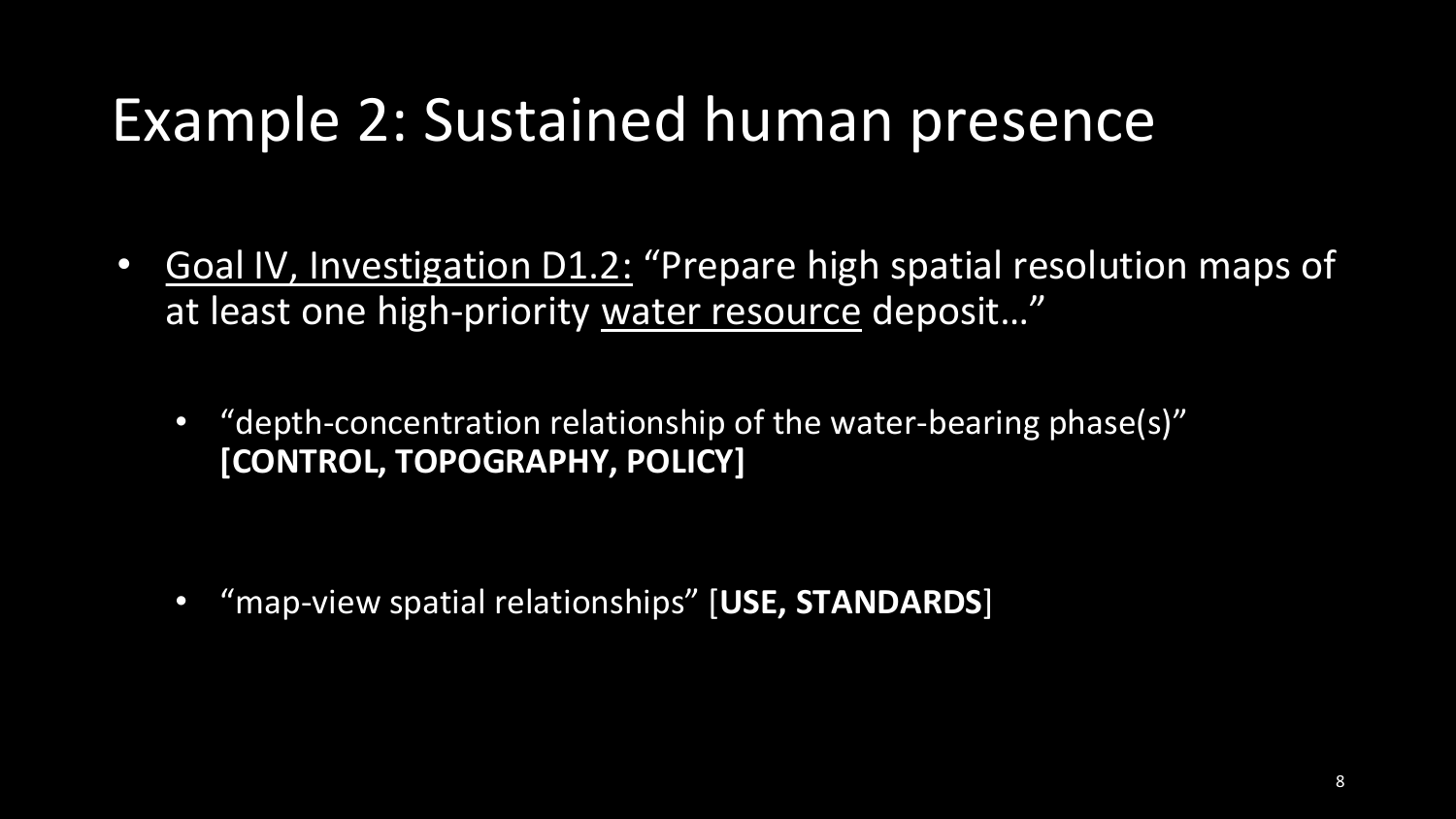#### Example 2: Sustained human presence

- Goal IV, Investigation D1.2: "Prepare high spatial resolution maps of at least one high-priority water resource deposit…"
	- "depth-concentration relationship of the water-bearing phase(s)" **[CONTROL, TOPOGRAPHY, POLICY]**

• "map-view spatial relationships" [**USE, STANDARDS**]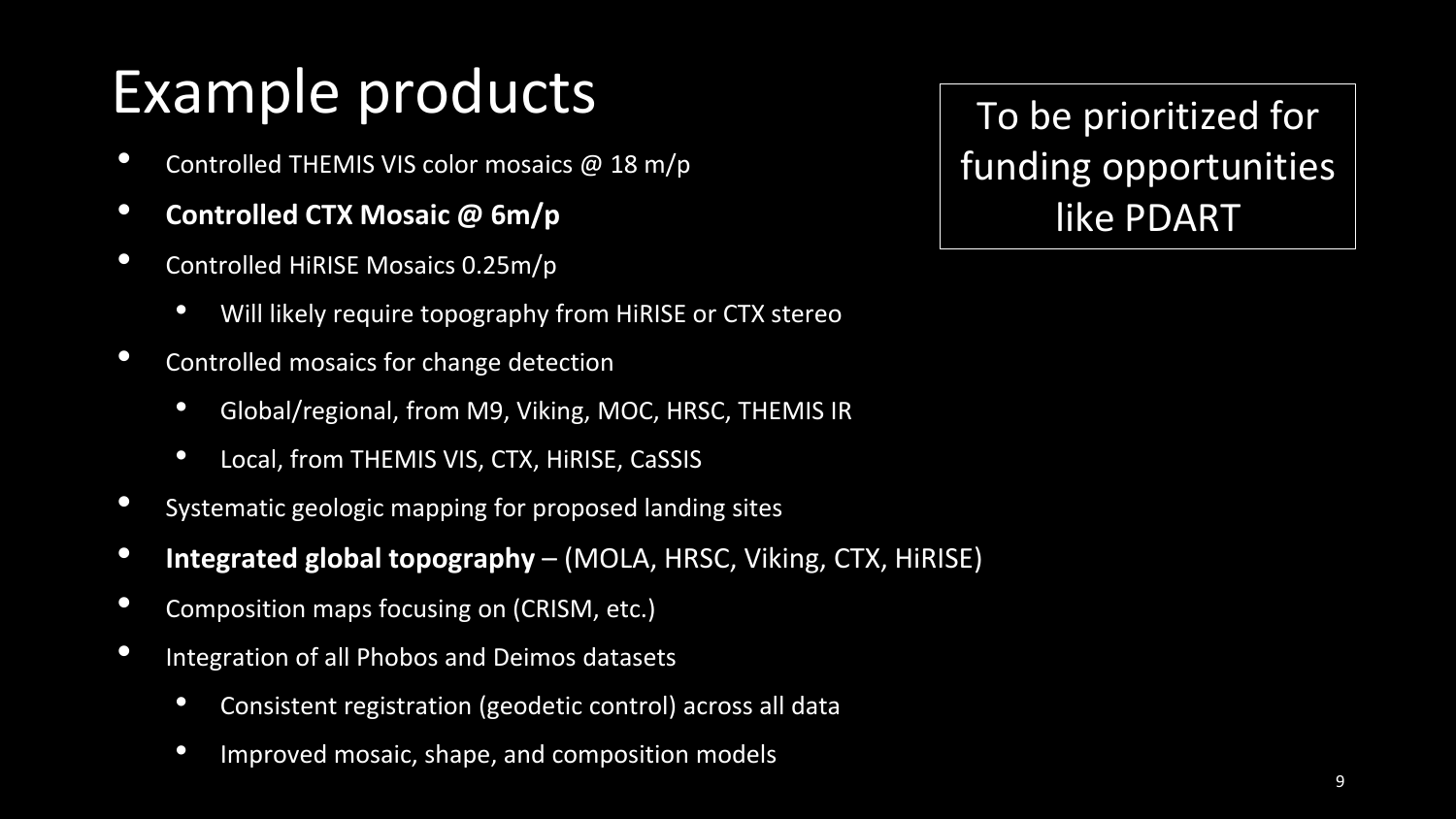### Example products

- Controlled THEMIS VIS color mosaics @ 18 m/p
- **Controlled CTX Mosaic @ 6m/p**
- Controlled HiRISE Mosaics 0.25m/p
	- Will likely require topography from HiRISE or CTX stereo
- Controlled mosaics for change detection
	- Global/regional, from M9, Viking, MOC, HRSC, THEMIS IR
	- Local, from THEMIS VIS, CTX, HiRISE, CaSSIS
- Systematic geologic mapping for proposed landing sites
- **Integrated global topography**  (MOLA, HRSC, Viking, CTX, HiRISE)
- Composition maps focusing on (CRISM, etc.)
- Integration of all Phobos and Deimos datasets
	- Consistent registration (geodetic control) across all data Shaded relief, USGS Merged MOLA & HRSC Global
	- Improved mosaic, shape, and composition models

To be prioritized for funding opportunities like PDART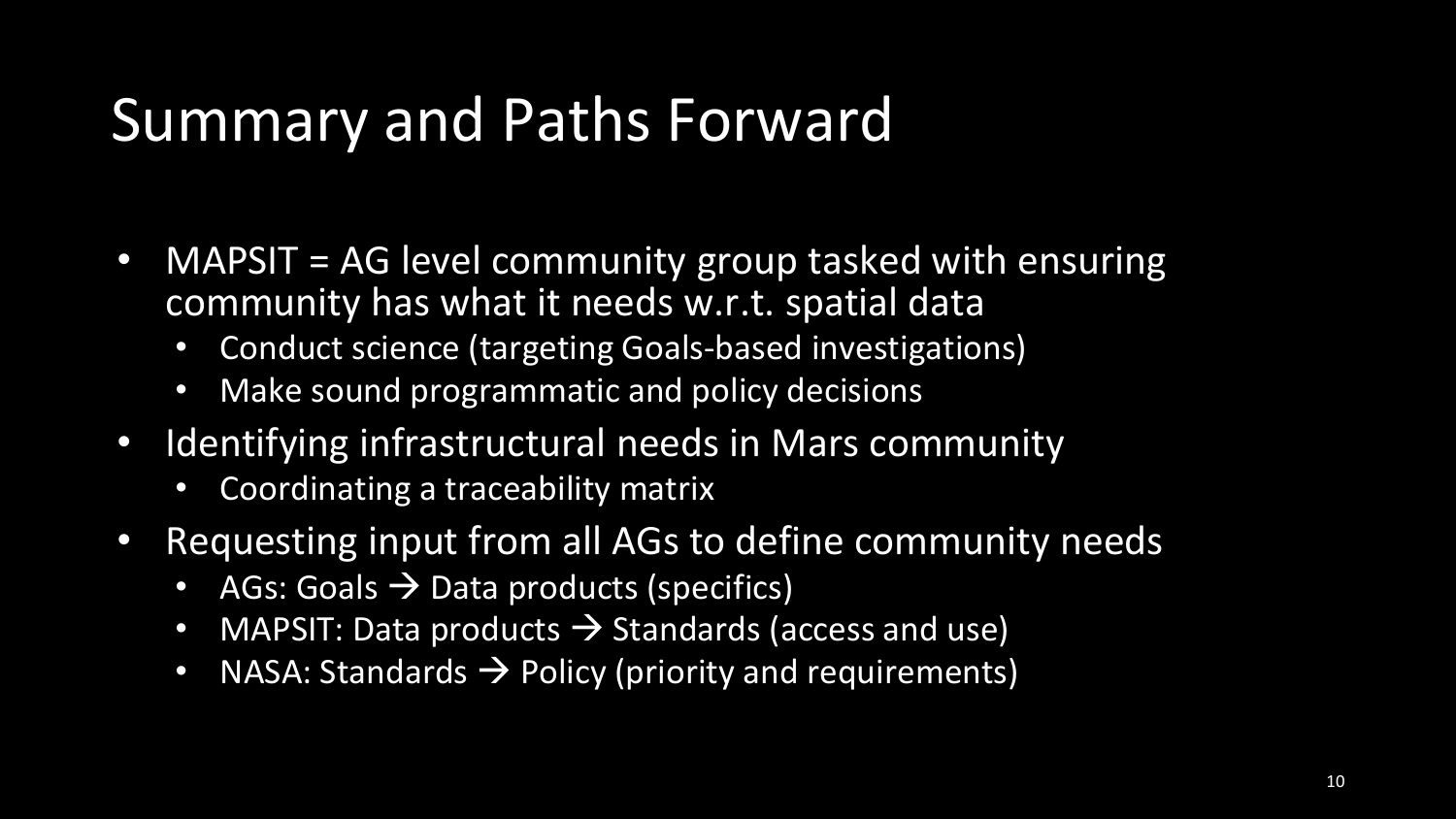#### Summary and Paths Forward

- MAPSIT = AG level community group tasked with ensuring community has what it needs w.r.t. spatial data
	- Conduct science (targeting Goals-based investigations)
	- Make sound programmatic and policy decisions
- Identifying infrastructural needs in Mars community
	- Coordinating a traceability matrix
- Requesting input from all AGs to define community needs
	- AGs: Goals  $\rightarrow$  Data products (specifics)
	- MAPSIT: Data products  $\rightarrow$  Standards (access and use)
	- NASA: Standards  $\rightarrow$  Policy (priority and requirements)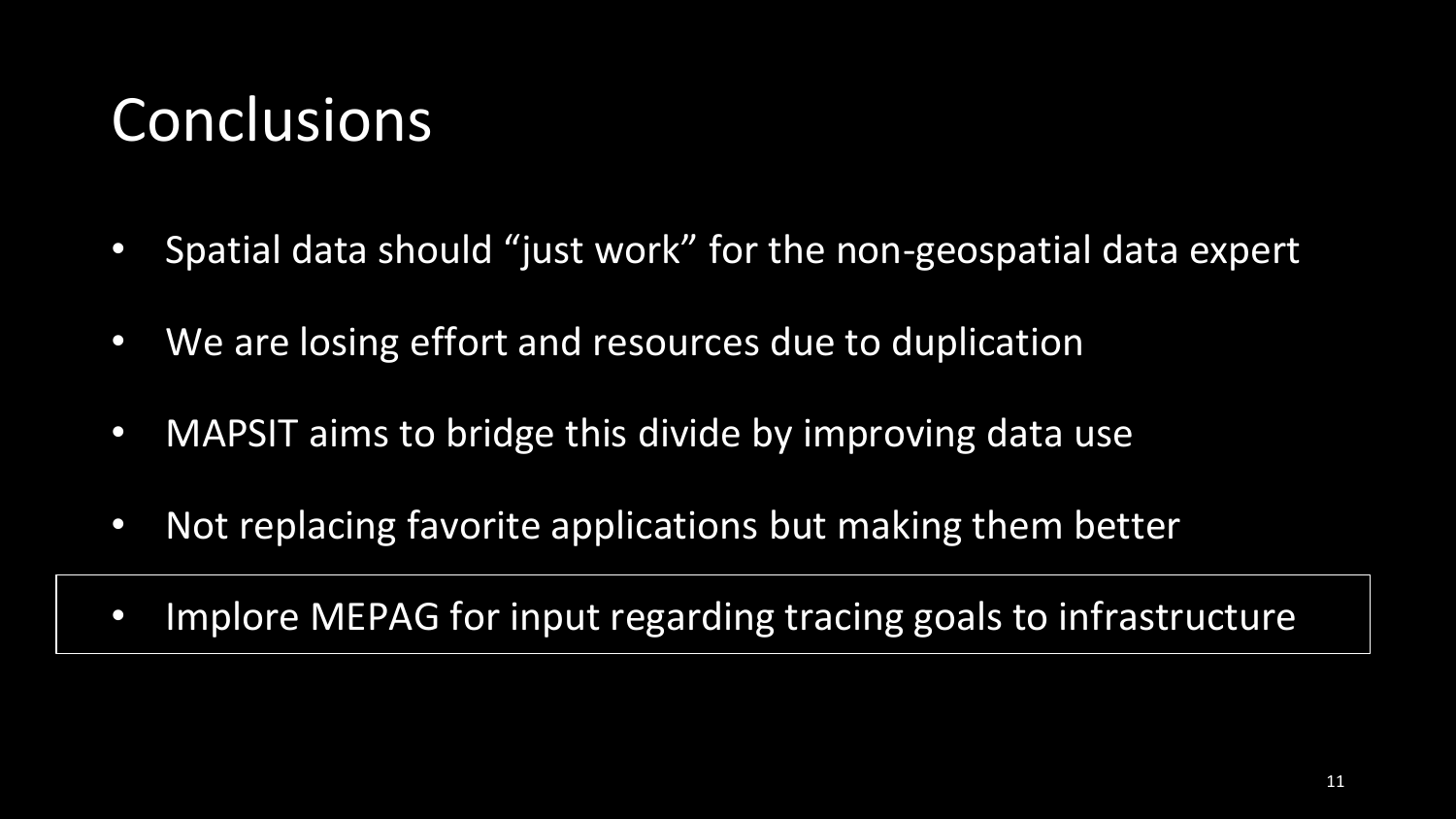#### **Conclusions**

- Spatial data should "just work" for the non-geospatial data expert
- We are losing effort and resources due to duplication
- MAPSIT aims to bridge this divide by improving data use
- Not replacing favorite applications but making them better
- Implore MEPAG for input regarding tracing goals to infrastructure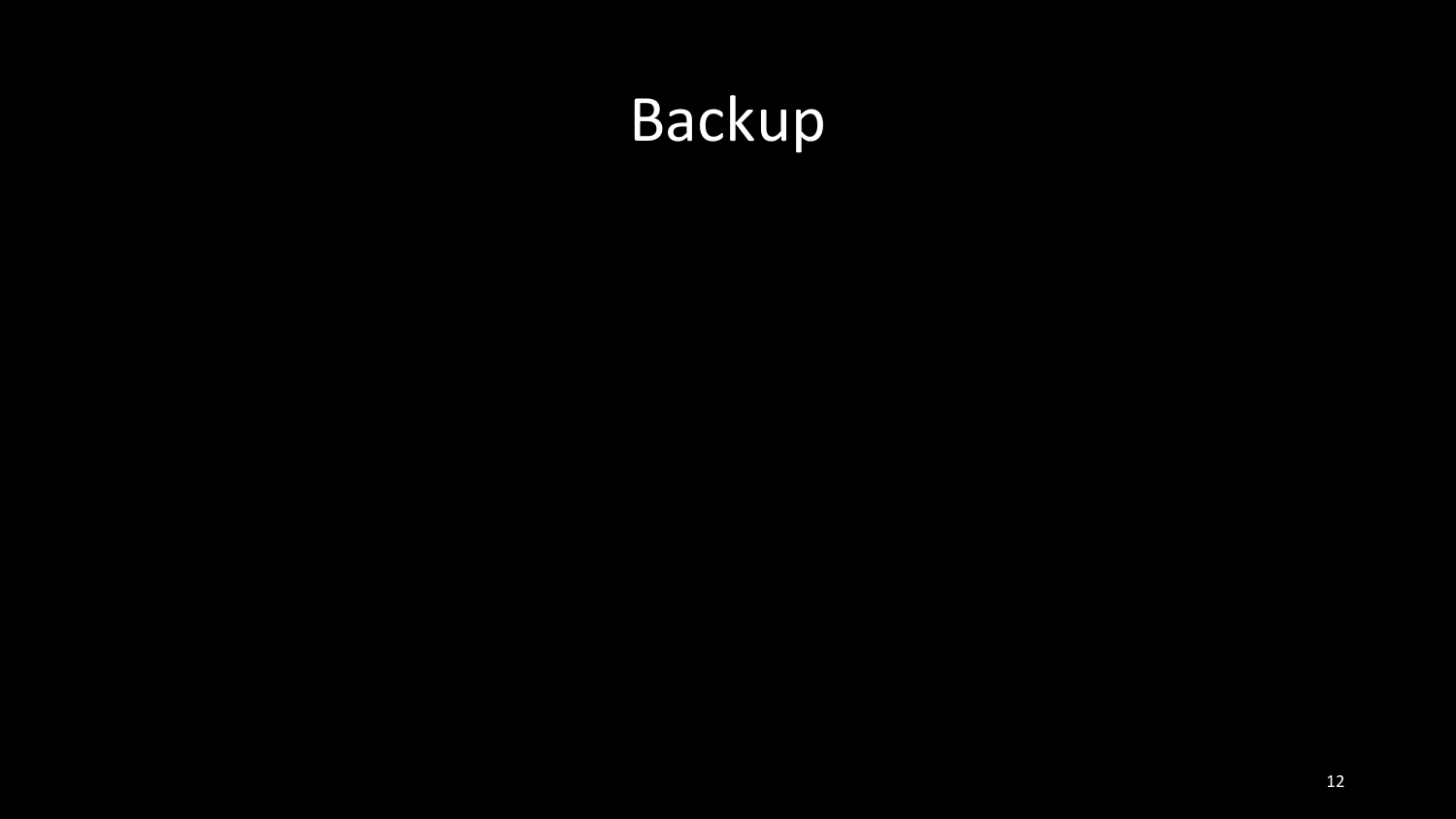## Backup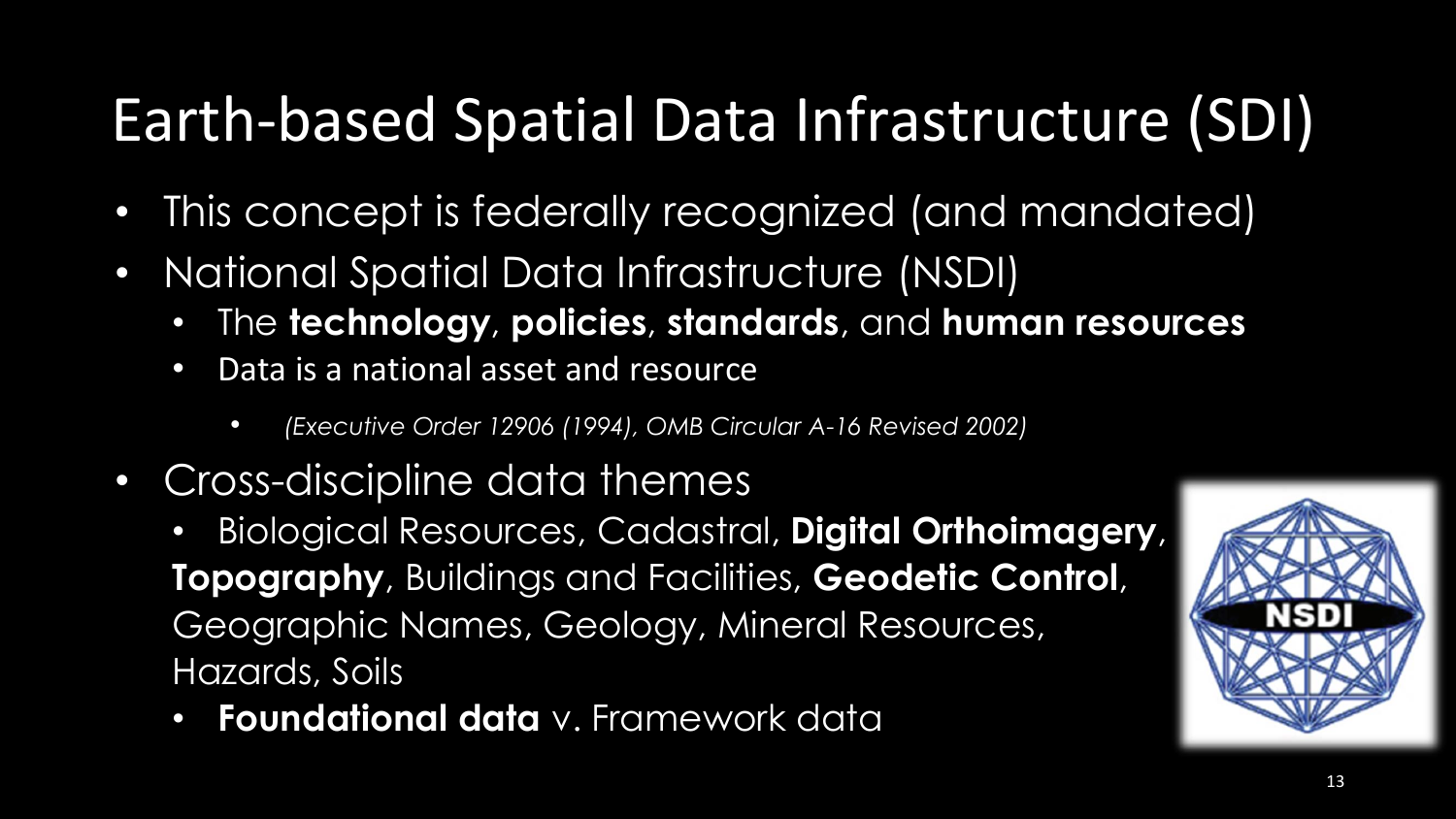### Earth-based Spatial Data Infrastructure (SDI)

- This concept is federally recognized (and mandated)
- National Spatial Data Infrastructure (NSDI)
	- The **technology**, **policies**, **standards**, and **human resources**
	- Data is a national asset and resource
		- *(Executive Order 12906 (1994), OMB Circular A-16 Revised 2002)*
- Cross-discipline data themes
	- Biological Resources, Cadastral, **Digital Orthoimagery**, **Topography**, Buildings and Facilities, **Geodetic Control**, Geographic Names, Geology, Mineral Resources, Hazards, Soils
	- **Foundational data** v. Framework data